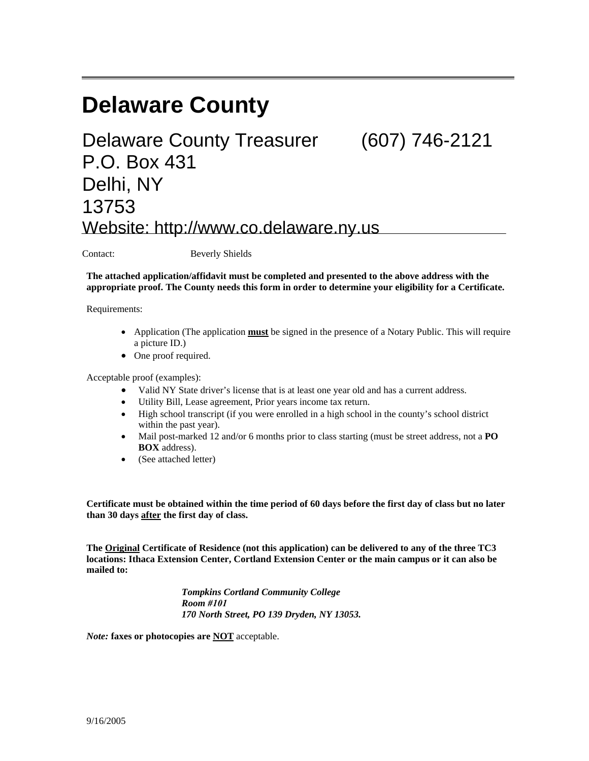# **Delaware County**

## Delaware County Treasurer (607) 746-2121 P.O. Box 431 Delhi, NY 13753 Website: http://www.co.delaware.ny.us

Contact: Beverly Shields

**The attached application/affidavit must be completed and presented to the above address with the appropriate proof. The County needs this form in order to determine your eligibility for a Certificate.** 

Requirements:

- Application (The application **must** be signed in the presence of a Notary Public. This will require a picture ID.)
- One proof required.

Acceptable proof (examples):

- Valid NY State driver's license that is at least one year old and has a current address.
- Utility Bill, Lease agreement, Prior years income tax return.
- High school transcript (if you were enrolled in a high school in the county's school district within the past year).
- Mail post-marked 12 and/or 6 months prior to class starting (must be street address, not a **PO BOX** address).
- (See attached letter)

**Certificate must be obtained within the time period of 60 days before the first day of class but no later than 30 days after the first day of class.** 

**The Original Certificate of Residence (not this application) can be delivered to any of the three TC3 locations: Ithaca Extension Center, Cortland Extension Center or the main campus or it can also be mailed to:** 

> *Tompkins Cortland Community College Room #101 170 North Street, PO 139 Dryden, NY 13053.*

*Note:* **faxes or photocopies are NOT** acceptable.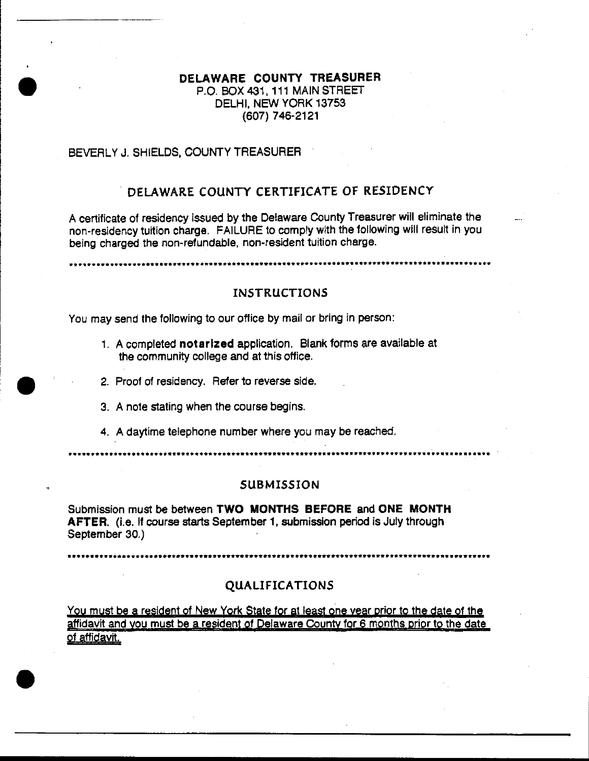## DELAWARE COUNTY TREASURER P.O. BOX 431, 111 MAIN STREET DELHI, NEW YORK 13753  $(607)$  746-2121

### BEVERLY J. SHIELDS, COUNTY TREASURER

## DELAWARE COUNTY CERTIFICATE OF RESIDENCY

A certificate of residency issued by the Delaware County Treasurer will eliminate the non-residency tuition charge. FAILURE to comply with the following will result in you being charged the non-refundable, non-resident tuition charge.

## **INSTRUCTIONS**

You may send the following to our office by mail or bring in person:

- 1. A completed notarized application. Blank forms are available at the community college and at this office.
- 2. Proof of residency. Refer to reverse side.
- 3. A note stating when the course begins.
- 4. A daytime telephone number where you may be reached.

........................

#### **SUBMISSION**

Submission must be between TWO MONTHS BEFORE and ONE MONTH AFTER. (i.e. If course starts September 1, submission period is July through September 30.)

## **QUALIFICATIONS**

You must be a resident of New York State for at least one year prior to the date of the affidavit and you must be a resident of Delaware County for 6 months prior to the date of affidavit.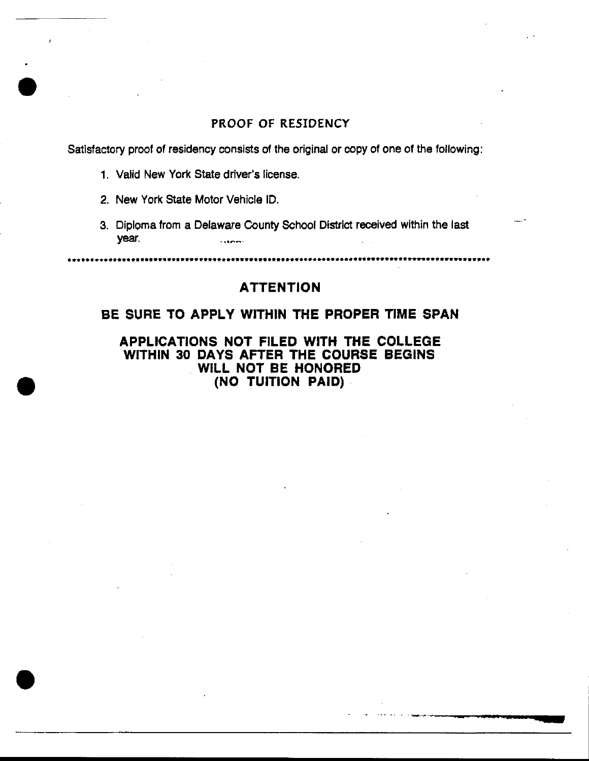## PROOF OF RESIDENCY

Satisfactory proof of residency consists of the original or copy of one of the following:

- 1. Valid New York State driver's license.
- 2. New York State Motor Vehicle ID.
- 3. Diploma from a Delaware County School District received within the last year.

## **ATTENTION**

## BE SURE TO APPLY WITHIN THE PROPER TIME SPAN

APPLICATIONS NOT FILED WITH THE COLLEGE WITHIN 30 DAYS AFTER THE COURSE BEGINS WILL NOT BE HONORED (NO TUITION PAID)